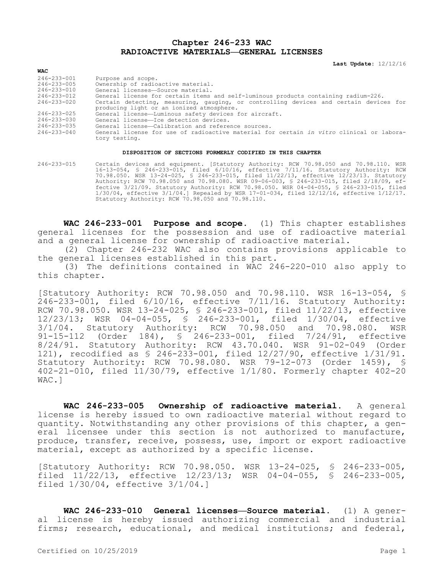## **Chapter 246-233 WAC RADIOACTIVE MATERIALS—GENERAL LICENSES**

**Last Update:** 12/12/16

| 246-233-001       | Purpose and scope.                                                                       |
|-------------------|------------------------------------------------------------------------------------------|
| 246-233-005       | Ownership of radioactive material.                                                       |
| 246-233-010       | General licenses—Source material.                                                        |
| $246 - 233 - 012$ | General license for certain items and self-luminous products containing radium-226.      |
| 246-233-020       | Certain detecting, measuring, qauging, or controlling devices and certain devices for    |
|                   | producing light or an ionized atmosphere.                                                |
| 246-233-025       | General license-Luminous safety devices for aircraft.                                    |
| 246-233-030       | General license-Ice detection devices.                                                   |
| 246-233-035       | General license-Calibration and reference sources.                                       |
| 246-233-040       | General license for use of radioactive material for certain in vitro clinical or labora- |
|                   | tory testing.                                                                            |

## **DISPOSITION OF SECTIONS FORMERLY CODIFIED IN THIS CHAPTER**

246-233-015 Certain devices and equipment. [Statutory Authority: RCW 70.98.050 and 70.98.110. WSR 16-13-054, § 246-233-015, filed 6/10/16, effective 7/11/16. Statutory Authority: RCW 70.98.050. WSR 13-24-025, § 246-233-015, filed 11/22/13, effective 12/23/13. Statutory Authority: RCW 70.98.050 and 70.98.080. WSR 09-06-003, § 246-233-015, filed 2/18/09, effective 3/21/09. Statutory Authority: RCW 70.98.050. WSR 04-04-055, § 246-233-015, filed 1/30/04, effective 3/1/04.] Repealed by WSR 17-01-034, filed 12/12/16, effective 1/12/17. Statutory Authority: RCW 70.98.050 and 70.98.110.

**WAC 246-233-001 Purpose and scope.** (1) This chapter establishes general licenses for the possession and use of radioactive material and a general license for ownership of radioactive material.

(2) Chapter 246-232 WAC also contains provisions applicable to the general licenses established in this part.

(3) The definitions contained in WAC 246-220-010 also apply to this chapter.

[Statutory Authority: RCW 70.98.050 and 70.98.110. WSR 16-13-054, § 246-233-001, filed 6/10/16, effective 7/11/16. Statutory Authority: RCW 70.98.050. WSR 13-24-025, § 246-233-001, filed 11/22/13, effective 12/23/13; WSR 04-04-055, § 246-233-001, filed 1/30/04, effective 3/1/04. Statutory Authority: RCW 70.98.050 and 70.98.080. WSR 91-15-112 (Order 184), § 246-233-001, filed 7/24/91, effective 8/24/91. Statutory Authority: RCW 43.70.040. WSR 91-02-049 (Order 121), recodified as § 246-233-001, filed 12/27/90, effective 1/31/91. Statutory Authority: RCW 70.98.080. WSR 79-12-073 (Order 1459), § 402-21-010, filed 11/30/79, effective 1/1/80. Formerly chapter 402-20 WAC.]

**WAC 246-233-005 Ownership of radioactive material.** A general license is hereby issued to own radioactive material without regard to quantity. Notwithstanding any other provisions of this chapter, a general licensee under this section is not authorized to manufacture, produce, transfer, receive, possess, use, import or export radioactive material, except as authorized by a specific license.

[Statutory Authority: RCW 70.98.050. WSR 13-24-025, § 246-233-005, filed 11/22/13, effective 12/23/13; WSR 04-04-055, § 246-233-005, filed 1/30/04, effective 3/1/04.]

**WAC 246-233-010 General licenses—Source material.** (1) A general license is hereby issued authorizing commercial and industrial firms; research, educational, and medical institutions; and federal,

**WAC**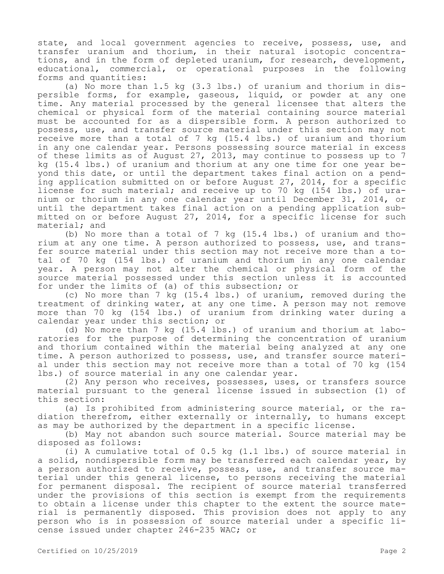state, and local government agencies to receive, possess, use, and transfer uranium and thorium, in their natural isotopic concentrations, and in the form of depleted uranium, for research, development, educational, commercial, or operational purposes in the following forms and quantities:

(a) No more than 1.5 kg (3.3 lbs.) of uranium and thorium in dispersible forms, for example, gaseous, liquid, or powder at any one time. Any material processed by the general licensee that alters the chemical or physical form of the material containing source material must be accounted for as a dispersible form. A person authorized to possess, use, and transfer source material under this section may not receive more than a total of 7 kg (15.4 lbs.) of uranium and thorium in any one calendar year. Persons possessing source material in excess of these limits as of August 27, 2013, may continue to possess up to 7 kg (15.4 lbs.) of uranium and thorium at any one time for one year beyond this date, or until the department takes final action on a pending application submitted on or before August 27, 2014, for a specific license for such material; and receive up to 70 kg (154 lbs.) of uranium or thorium in any one calendar year until December 31, 2014, or until the department takes final action on a pending application submitted on or before August 27, 2014, for a specific license for such material; and

(b) No more than a total of 7 kg (15.4 lbs.) of uranium and thorium at any one time. A person authorized to possess, use, and transfer source material under this section may not receive more than a total of 70 kg (154 lbs.) of uranium and thorium in any one calendar year. A person may not alter the chemical or physical form of the source material possessed under this section unless it is accounted for under the limits of (a) of this subsection; or

(c) No more than 7 kg (15.4 lbs.) of uranium, removed during the treatment of drinking water, at any one time. A person may not remove more than 70 kg (154 lbs.) of uranium from drinking water during a calendar year under this section; or

(d) No more than 7 kg (15.4 lbs.) of uranium and thorium at laboratories for the purpose of determining the concentration of uranium and thorium contained within the material being analyzed at any one time. A person authorized to possess, use, and transfer source material under this section may not receive more than a total of 70 kg (154 lbs.) of source material in any one calendar year.

(2) Any person who receives, possesses, uses, or transfers source material pursuant to the general license issued in subsection (1) of this section:

(a) Is prohibited from administering source material, or the radiation therefrom, either externally or internally, to humans except as may be authorized by the department in a specific license.

(b) May not abandon such source material. Source material may be disposed as follows:

(i) A cumulative total of 0.5 kg (1.1 lbs.) of source material in a solid, nondispersible form may be transferred each calendar year, by a person authorized to receive, possess, use, and transfer source material under this general license, to persons receiving the material for permanent disposal. The recipient of source material transferred under the provisions of this section is exempt from the requirements to obtain a license under this chapter to the extent the source material is permanently disposed. This provision does not apply to any person who is in possession of source material under a specific license issued under chapter 246-235 WAC; or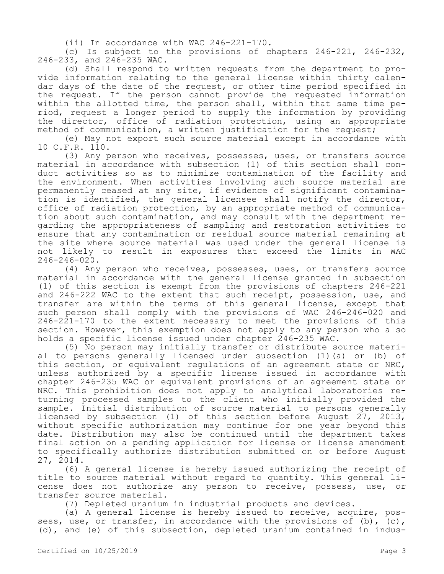(ii) In accordance with WAC 246-221-170.

(c) Is subject to the provisions of chapters 246-221, 246-232, 246-233, and 246-235 WAC.

(d) Shall respond to written requests from the department to provide information relating to the general license within thirty calendar days of the date of the request, or other time period specified in the request. If the person cannot provide the requested information within the allotted time, the person shall, within that same time period, request a longer period to supply the information by providing the director, office of radiation protection, using an appropriate method of communication, a written justification for the request;

(e) May not export such source material except in accordance with 10 C.F.R. 110.

(3) Any person who receives, possesses, uses, or transfers source material in accordance with subsection (1) of this section shall conduct activities so as to minimize contamination of the facility and the environment. When activities involving such source material are permanently ceased at any site, if evidence of significant contamination is identified, the general licensee shall notify the director, office of radiation protection, by an appropriate method of communication about such contamination, and may consult with the department regarding the appropriateness of sampling and restoration activities to ensure that any contamination or residual source material remaining at the site where source material was used under the general license is not likely to result in exposures that exceed the limits in WAC 246-246-020.

(4) Any person who receives, possesses, uses, or transfers source material in accordance with the general license granted in subsection (1) of this section is exempt from the provisions of chapters 246-221 and 246-222 WAC to the extent that such receipt, possession, use, and transfer are within the terms of this general license, except that such person shall comply with the provisions of WAC 246-246-020 and 246-221-170 to the extent necessary to meet the provisions of this section. However, this exemption does not apply to any person who also holds a specific license issued under chapter 246-235 WAC.

(5) No person may initially transfer or distribute source material to persons generally licensed under subsection (1)(a) or (b) of this section, or equivalent regulations of an agreement state or NRC, unless authorized by a specific license issued in accordance with chapter 246-235 WAC or equivalent provisions of an agreement state or NRC. This prohibition does not apply to analytical laboratories returning processed samples to the client who initially provided the sample. Initial distribution of source material to persons generally licensed by subsection (1) of this section before August  $27$ , 2013, without specific authorization may continue for one year beyond this date. Distribution may also be continued until the department takes final action on a pending application for license or license amendment to specifically authorize distribution submitted on or before August 27, 2014.

(6) A general license is hereby issued authorizing the receipt of title to source material without regard to quantity. This general license does not authorize any person to receive, possess, use, or transfer source material.

(7) Depleted uranium in industrial products and devices.

(a) A general license is hereby issued to receive, acquire, possess, use, or transfer, in accordance with the provisions of  $(b)$ ,  $(c)$ , (d), and (e) of this subsection, depleted uranium contained in indus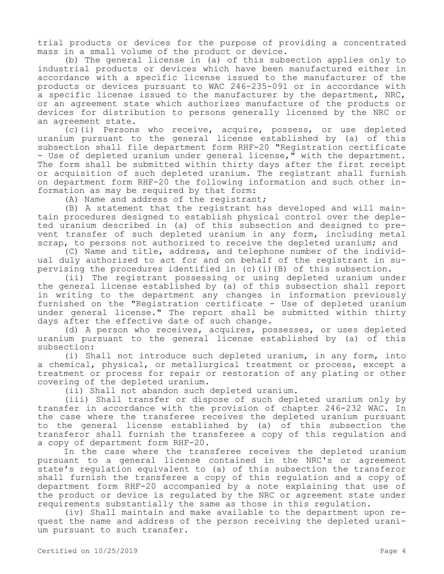trial products or devices for the purpose of providing a concentrated mass in a small volume of the product or device.

(b) The general license in (a) of this subsection applies only to industrial products or devices which have been manufactured either in accordance with a specific license issued to the manufacturer of the products or devices pursuant to WAC 246-235-091 or in accordance with a specific license issued to the manufacturer by the department, NRC, or an agreement state which authorizes manufacture of the products or devices for distribution to persons generally licensed by the NRC or an agreement state.

(c)(i) Persons who receive, acquire, possess, or use depleted uranium pursuant to the general license established by (a) of this subsection shall file department form RHF-20 "Registration certificate - Use of depleted uranium under general license," with the department. The form shall be submitted within thirty days after the first receipt or acquisition of such depleted uranium. The registrant shall furnish on department form RHF-20 the following information and such other information as may be required by that form:

(A) Name and address of the registrant;

(B) A statement that the registrant has developed and will maintain procedures designed to establish physical control over the depleted uranium described in (a) of this subsection and designed to prevent transfer of such depleted uranium in any form, including metal scrap, to persons not authorized to receive the depleted uranium; and

(C) Name and title, address, and telephone number of the individual duly authorized to act for and on behalf of the registrant in supervising the procedures identified in (c)(i)(B) of this subsection.

(ii) The registrant possessing or using depleted uranium under the general license established by (a) of this subsection shall report in writing to the department any changes in information previously furnished on the "Registration certificate - Use of depleted uranium under general license." The report shall be submitted within thirty days after the effective date of such change.

(d) A person who receives, acquires, possesses, or uses depleted uranium pursuant to the general license established by (a) of this subsection:

(i) Shall not introduce such depleted uranium, in any form, into a chemical, physical, or metallurgical treatment or process, except a treatment or process for repair or restoration of any plating or other covering of the depleted uranium.

(ii) Shall not abandon such depleted uranium.

(iii) Shall transfer or dispose of such depleted uranium only by transfer in accordance with the provision of chapter 246-232 WAC. In the case where the transferee receives the depleted uranium pursuant to the general license established by (a) of this subsection the transferor shall furnish the transferee a copy of this regulation and a copy of department form RHF-20.

In the case where the transferee receives the depleted uranium pursuant to a general license contained in the NRC's or agreement state's regulation equivalent to (a) of this subsection the transferor shall furnish the transferee a copy of this regulation and a copy of department form RHF-20 accompanied by a note explaining that use of the product or device is regulated by the NRC or agreement state under requirements substantially the same as those in this regulation.

(iv) Shall maintain and make available to the department upon request the name and address of the person receiving the depleted uranium pursuant to such transfer.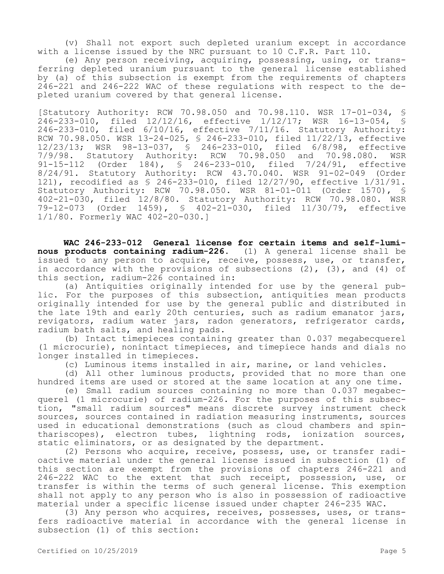(v) Shall not export such depleted uranium except in accordance with a license issued by the NRC pursuant to 10 C.F.R. Part 110.

(e) Any person receiving, acquiring, possessing, using, or transferring depleted uranium pursuant to the general license established by (a) of this subsection is exempt from the requirements of chapters 246-221 and 246-222 WAC of these regulations with respect to the depleted uranium covered by that general license.

[Statutory Authority: RCW 70.98.050 and 70.98.110. WSR 17-01-034, § 246-233-010, filed 12/12/16, effective 1/12/17; WSR 16-13-054, § 246-233-010, filed 6/10/16, effective 7/11/16. Statutory Authority: RCW 70.98.050. WSR 13-24-025, § 246-233-010, filed 11/22/13, effective 12/23/13; WSR 98-13-037, § 246-233-010, filed 6/8/98, effective 7/9/98. Statutory Authority: RCW 70.98.050 and 70.98.080. WSR 91-15-112 (Order 184), § 246-233-010, filed 7/24/91, effective 8/24/91. Statutory Authority: RCW 43.70.040. WSR 91-02-049 (Order 121), recodified as § 246-233-010, filed 12/27/90, effective 1/31/91. Statutory Authority: RCW 70.98.050. WSR 81-01-011 (Order 1570), § 402-21-030, filed 12/8/80. Statutory Authority: RCW 70.98.080. WSR 79-12-073 (Order 1459), § 402-21-030, filed 11/30/79, effective 1/1/80. Formerly WAC 402-20-030.]

**WAC 246-233-012 General license for certain items and self-luminous products containing radium-226.** (1) A general license shall be issued to any person to acquire, receive, possess, use, or transfer, in accordance with the provisions of subsections  $(2)$ ,  $(3)$ , and  $(4)$  of this section, radium-226 contained in:

(a) Antiquities originally intended for use by the general public. For the purposes of this subsection, antiquities mean products originally intended for use by the general public and distributed in the late 19th and early 20th centuries, such as radium emanator jars, revigators, radium water jars, radon generators, refrigerator cards, radium bath salts, and healing pads.

(b) Intact timepieces containing greater than 0.037 megabecquerel (1 microcurie), nonintact timepieces, and timepiece hands and dials no longer installed in timepieces.

(c) Luminous items installed in air, marine, or land vehicles.

(d) All other luminous products, provided that no more than one hundred items are used or stored at the same location at any one time.

(e) Small radium sources containing no more than 0.037 megabecquerel (1 microcurie) of radium-226. For the purposes of this subsection, "small radium sources" means discrete survey instrument check sources, sources contained in radiation measuring instruments, sources used in educational demonstrations (such as cloud chambers and spinthariscopes), electron tubes, lightning rods, ionization sources, static eliminators, or as designated by the department.

(2) Persons who acquire, receive, possess, use, or transfer radioactive material under the general license issued in subsection (1) of this section are exempt from the provisions of chapters 246-221 and 246-222 WAC to the extent that such receipt, possession, use, or transfer is within the terms of such general license. This exemption shall not apply to any person who is also in possession of radioactive material under a specific license issued under chapter 246-235 WAC.

(3) Any person who acquires, receives, possesses, uses, or transfers radioactive material in accordance with the general license in subsection (1) of this section: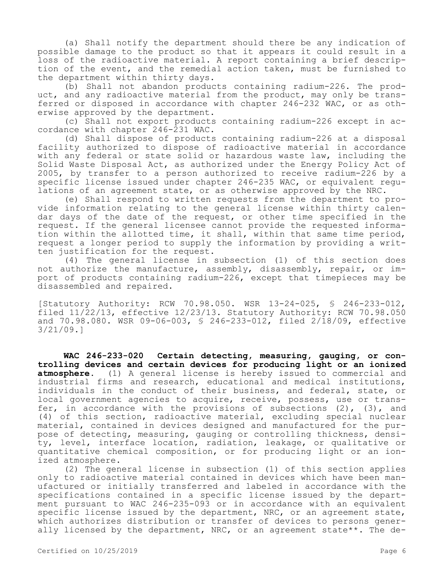(a) Shall notify the department should there be any indication of possible damage to the product so that it appears it could result in a loss of the radioactive material. A report containing a brief description of the event, and the remedial action taken, must be furnished to the department within thirty days.

(b) Shall not abandon products containing radium-226. The product, and any radioactive material from the product, may only be transferred or disposed in accordance with chapter 246-232 WAC, or as otherwise approved by the department.

(c) Shall not export products containing radium-226 except in accordance with chapter 246-231 WAC.

(d) Shall dispose of products containing radium-226 at a disposal facility authorized to dispose of radioactive material in accordance with any federal or state solid or hazardous waste law, including the Solid Waste Disposal Act, as authorized under the Energy Policy Act of 2005, by transfer to a person authorized to receive radium-226 by a specific license issued under chapter 246-235 WAC, or equivalent regulations of an agreement state, or as otherwise approved by the NRC.

(e) Shall respond to written requests from the department to provide information relating to the general license within thirty calendar days of the date of the request, or other time specified in the request. If the general licensee cannot provide the requested information within the allotted time, it shall, within that same time period, request a longer period to supply the information by providing a written justification for the request.

(4) The general license in subsection (1) of this section does not authorize the manufacture, assembly, disassembly, repair, or import of products containing radium-226, except that timepieces may be disassembled and repaired.

[Statutory Authority: RCW 70.98.050. WSR 13-24-025, § 246-233-012, filed 11/22/13, effective 12/23/13. Statutory Authority: RCW 70.98.050 and 70.98.080. WSR 09-06-003, § 246-233-012, filed 2/18/09, effective 3/21/09.]

**WAC 246-233-020 Certain detecting, measuring, gauging, or controlling devices and certain devices for producing light or an ionized atmosphere.** (1) A general license is hereby issued to commercial and industrial firms and research, educational and medical institutions, individuals in the conduct of their business, and federal, state, or local government agencies to acquire, receive, possess, use or transfer, in accordance with the provisions of subsections  $(2)$ ,  $(3)$ , and (4) of this section, radioactive material, excluding special nuclear material, contained in devices designed and manufactured for the purpose of detecting, measuring, gauging or controlling thickness, density, level, interface location, radiation, leakage, or qualitative or quantitative chemical composition, or for producing light or an ionized atmosphere.

(2) The general license in subsection (1) of this section applies only to radioactive material contained in devices which have been manufactured or initially transferred and labeled in accordance with the specifications contained in a specific license issued by the department pursuant to WAC 246-235-093 or in accordance with an equivalent specific license issued by the department, NRC, or an agreement state, which authorizes distribution or transfer of devices to persons generally licensed by the department, NRC, or an agreement state\*\*. The de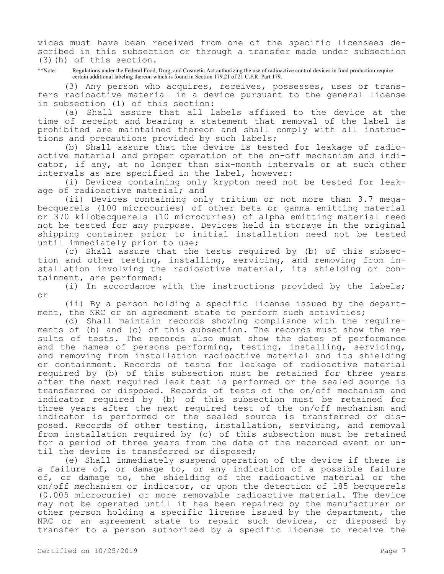vices must have been received from one of the specific licensees described in this subsection or through a transfer made under subsection (3)(h) of this section.

\*\*Note: Regulations under the Federal Food, Drug, and Cosmetic Act authorizing the use of radioactive control devices in food production require certain additional labeling thereon which is found in Section 179.21 of 21 C.F.R. Part 179.

(3) Any person who acquires, receives, possesses, uses or transfers radioactive material in a device pursuant to the general license in subsection (1) of this section:

(a) Shall assure that all labels affixed to the device at the time of receipt and bearing a statement that removal of the label is prohibited are maintained thereon and shall comply with all instructions and precautions provided by such labels;

(b) Shall assure that the device is tested for leakage of radioactive material and proper operation of the on-off mechanism and indicator, if any, at no longer than six-month intervals or at such other intervals as are specified in the label, however:

(i) Devices containing only krypton need not be tested for leakage of radioactive material; and

(ii) Devices containing only tritium or not more than 3.7 megabecquerels (100 microcuries) of other beta or gamma emitting material or 370 kilobecquerels (10 microcuries) of alpha emitting material need not be tested for any purpose. Devices held in storage in the original shipping container prior to initial installation need not be tested until immediately prior to use;

(c) Shall assure that the tests required by (b) of this subsection and other testing, installing, servicing, and removing from installation involving the radioactive material, its shielding or containment, are performed:

(i) In accordance with the instructions provided by the labels; or

(ii) By a person holding a specific license issued by the department, the NRC or an agreement state to perform such activities;

(d) Shall maintain records showing compliance with the requirements of (b) and (c) of this subsection. The records must show the results of tests. The records also must show the dates of performance and the names of persons performing, testing, installing, servicing, and removing from installation radioactive material and its shielding or containment. Records of tests for leakage of radioactive material required by (b) of this subsection must be retained for three years after the next required leak test is performed or the sealed source is transferred or disposed. Records of tests of the on/off mechanism and indicator required by (b) of this subsection must be retained for three years after the next required test of the on/off mechanism and indicator is performed or the sealed source is transferred or disposed. Records of other testing, installation, servicing, and removal from installation required by (c) of this subsection must be retained for a period of three years from the date of the recorded event or until the device is transferred or disposed;

(e) Shall immediately suspend operation of the device if there is a failure of, or damage to, or any indication of a possible failure of, or damage to, the shielding of the radioactive material or the on/off mechanism or indicator, or upon the detection of 185 becquerels (0.005 microcurie) or more removable radioactive material. The device may not be operated until it has been repaired by the manufacturer or other person holding a specific license issued by the department, the NRC or an agreement state to repair such devices, or disposed by transfer to a person authorized by a specific license to receive the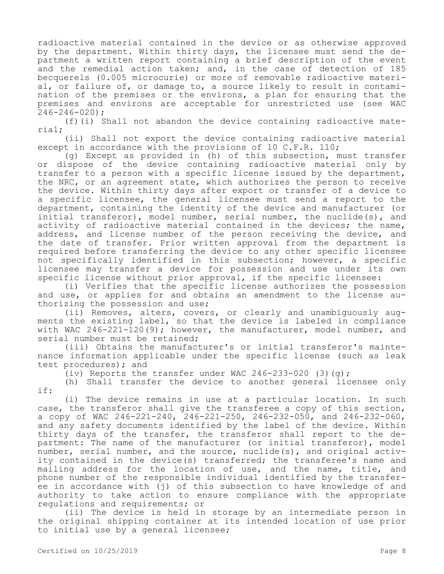radioactive material contained in the device or as otherwise approved by the department. Within thirty days, the licensee must send the department a written report containing a brief description of the event and the remedial action taken; and, in the case of detection of 185 becquerels (0.005 microcurie) or more of removable radioactive material, or failure of, or damage to, a source likely to result in contamination of the premises or the environs, a plan for ensuring that the premises and environs are acceptable for unrestricted use (see WAC 246-246-020);

(f)(i) Shall not abandon the device containing radioactive material;

(ii) Shall not export the device containing radioactive material except in accordance with the provisions of 10 C.F.R. 110;

(g) Except as provided in (h) of this subsection, must transfer or dispose of the device containing radioactive material only by transfer to a person with a specific license issued by the department, the NRC, or an agreement state, which authorizes the person to receive the device. Within thirty days after export or transfer of a device to a specific licensee, the general licensee must send a report to the department, containing the identity of the device and manufacturer (or initial transferor), model number, serial number, the nuclide(s), and activity of radioactive material contained in the devices; the name, address, and license number of the person receiving the device, and the date of transfer. Prior written approval from the department is required before transferring the device to any other specific licensee not specifically identified in this subsection; however, a specific licensee may transfer a device for possession and use under its own specific license without prior approval, if the specific licensee:

(i) Verifies that the specific license authorizes the possession and use, or applies for and obtains an amendment to the license authorizing the possession and use;

(ii) Removes, alters, covers, or clearly and unambiguously augments the existing label, so that the device is labeled in compliance with WAC  $246-221-120(9)$ ; however, the manufacturer, model number, and serial number must be retained;

(iii) Obtains the manufacturer's or initial transferor's maintenance information applicable under the specific license (such as leak test procedures); and

(iv) Reports the transfer under WAC  $246-233-020$  (3)(q);

(h) Shall transfer the device to another general licensee only if:

(i) The device remains in use at a particular location. In such case, the transferor shall give the transferee a copy of this section, a copy of WAC 246-221-240,  $246-221-250$ , 246-232-050, and 246-232-060, and any safety documents identified by the label of the device. Within thirty days of the transfer, the transferor shall report to the department: The name of the manufacturer (or initial transferor), model number, serial number, and the source, nuclide(s), and original activity contained in the device(s) transferred; the transferee's name and mailing address for the location of use, and the name, title, and phone number of the responsible individual identified by the transferee in accordance with (j) of this subsection to have knowledge of and authority to take action to ensure compliance with the appropriate regulations and requirements; or

(ii) The device is held in storage by an intermediate person in the original shipping container at its intended location of use prior to initial use by a general licensee;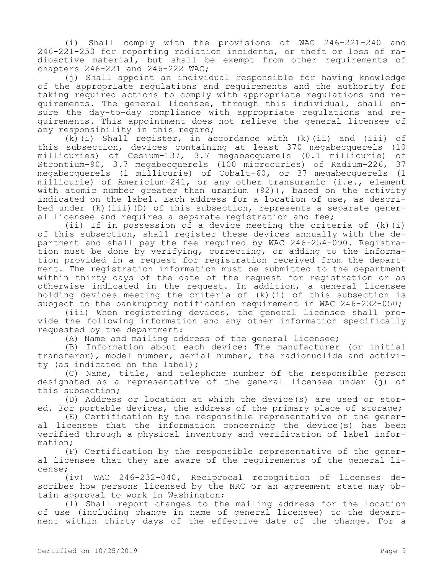(i) Shall comply with the provisions of WAC 246-221-240 and 246-221-250 for reporting radiation incidents, or theft or loss of radioactive material, but shall be exempt from other requirements of chapters 246-221 and 246-222 WAC;

(j) Shall appoint an individual responsible for having knowledge of the appropriate regulations and requirements and the authority for taking required actions to comply with appropriate regulations and requirements. The general licensee, through this individual, shall ensure the day-to-day compliance with appropriate regulations and requirements. This appointment does not relieve the general licensee of any responsibility in this regard;

(k)(i) Shall register, in accordance with (k)(ii) and (iii) of this subsection, devices containing at least 370 megabecquerels (10 millicuries) of Cesium-137, 3.7 megabecquerels (0.1 millicurie) of Strontium-90, 3.7 megabecquerels (100 microcuries) of Radium-226, 37 megabecquerels (1 millicurie) of Cobalt-60, or 37 megabecquerels (1 millicurie) of Americium-241, or any other transuranic (i.e., element with atomic number greater than uranium (92)), based on the activity indicated on the label. Each address for a location of use, as described under (k)(iii)(D) of this subsection, represents a separate general licensee and requires a separate registration and fee;

(ii) If in possession of a device meeting the criteria of (k)(i) of this subsection, shall register these devices annually with the department and shall pay the fee required by WAC 246-254-090. Registration must be done by verifying, correcting, or adding to the information provided in a request for registration received from the department. The registration information must be submitted to the department within thirty days of the date of the request for registration or as otherwise indicated in the request. In addition, a general licensee holding devices meeting the criteria of (k)(i) of this subsection is subject to the bankruptcy notification requirement in WAC 246-232-050;

(iii) When registering devices, the general licensee shall provide the following information and any other information specifically requested by the department:

(A) Name and mailing address of the general licensee;

(B) Information about each device: The manufacturer (or initial transferor), model number, serial number, the radionuclide and activity (as indicated on the label);

(C) Name, title, and telephone number of the responsible person designated as a representative of the general licensee under (j) of this subsection;

(D) Address or location at which the device(s) are used or stored. For portable devices, the address of the primary place of storage;

(E) Certification by the responsible representative of the general licensee that the information concerning the device(s) has been verified through a physical inventory and verification of label information;

(F) Certification by the responsible representative of the general licensee that they are aware of the requirements of the general license;

(iv) WAC 246-232-040, Reciprocal recognition of licenses describes how persons licensed by the NRC or an agreement state may obtain approval to work in Washington;

(l) Shall report changes to the mailing address for the location of use (including change in name of general licensee) to the department within thirty days of the effective date of the change. For a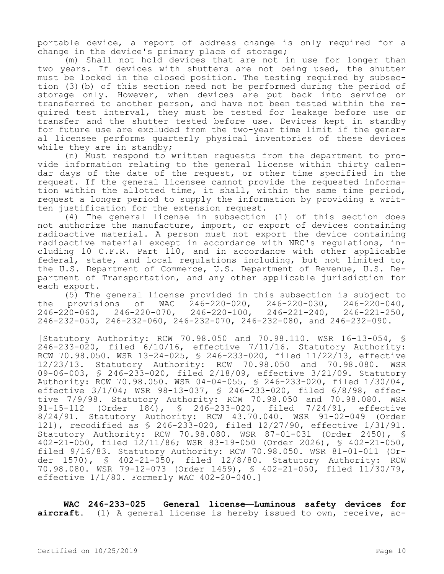portable device, a report of address change is only required for a change in the device's primary place of storage;

(m) Shall not hold devices that are not in use for longer than two years. If devices with shutters are not being used, the shutter must be locked in the closed position. The testing required by subsection (3)(b) of this section need not be performed during the period of storage only. However, when devices are put back into service or transferred to another person, and have not been tested within the required test interval, they must be tested for leakage before use or transfer and the shutter tested before use. Devices kept in standby for future use are excluded from the two-year time limit if the general licensee performs quarterly physical inventories of these devices while they are in standby;

(n) Must respond to written requests from the department to provide information relating to the general license within thirty calendar days of the date of the request, or other time specified in the request. If the general licensee cannot provide the requested information within the allotted time, it shall, within the same time period, request a longer period to supply the information by providing a written justification for the extension request.

(4) The general license in subsection (1) of this section does not authorize the manufacture, import, or export of devices containing radioactive material. A person must not export the device containing radioactive material except in accordance with NRC's regulations, including 10 C.F.R. Part 110, and in accordance with other applicable federal, state, and local regulations including, but not limited to, the U.S. Department of Commerce, U.S. Department of Revenue, U.S. Department of Transportation, and any other applicable jurisdiction for each export.

(5) The general license provided in this subsection is subject to provisions of  $WAC = 246-220-020$ ,  $246-220-030$ ,  $246-220-040$ , the provisions of WAC 246-220-020, 246-220-030, 246-220-040,<br>246-220-060, 246-220-070, 246-220-100, 246-221-240, 246-221-250,  $246 - 220 - 060$ ,  $246 - 220 - 070$ , 246-232-050, 246-232-060, 246-232-070, 246-232-080, and 246-232-090.

[Statutory Authority: RCW 70.98.050 and 70.98.110. WSR 16-13-054, § 246-233-020, filed 6/10/16, effective 7/11/16. Statutory Authority: RCW 70.98.050. WSR 13-24-025, § 246-233-020, filed 11/22/13, effective 12/23/13. Statutory Authority: RCW 70.98.050 and 70.98.080. WSR 09-06-003, § 246-233-020, filed 2/18/09, effective 3/21/09. Statutory Authority: RCW 70.98.050. WSR 04-04-055, § 246-233-020, filed 1/30/04, effective 3/1/04; WSR 98-13-037, § 246-233-020, filed 6/8/98, effective 7/9/98. Statutory Authority: RCW 70.98.050 and 70.98.080. WSR<br>91-15-112 (Order 184), § 246-233-020, filed 7/24/91, effective 91-15-112 (Order 184), § 246-233-020, 8/24/91. Statutory Authority: RCW 43.70.040. WSR 91-02-049 (Order 121), recodified as § 246-233-020, filed 12/27/90, effective 1/31/91. Statutory Authority: RCW 70.98.080. WSR 87-01-031 (Order 2450), § 402-21-050, filed 12/11/86; WSR 83-19-050 (Order 2026), § 402-21-050, filed 9/16/83. Statutory Authority: RCW 70.98.050. WSR 81-01-011 (Order 1570), § 402-21-050, filed 12/8/80. Statutory Authority: RCW 70.98.080. WSR 79-12-073 (Order 1459), § 402-21-050, filed 11/30/79, effective 1/1/80. Formerly WAC 402-20-040.]

**WAC 246-233-025 General license—Luminous safety devices for aircraft.** (1) A general license is hereby issued to own, receive, ac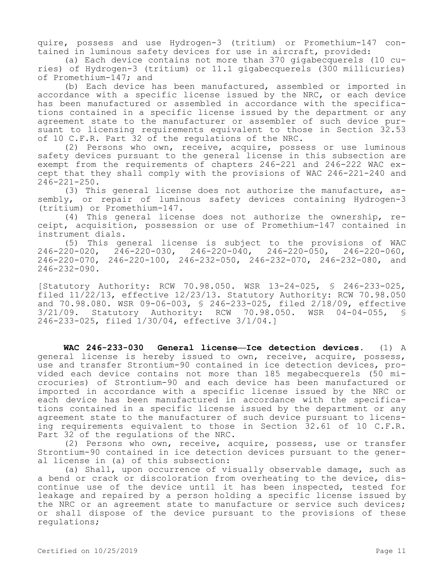quire, possess and use Hydrogen-3 (tritium) or Promethium-147 contained in luminous safety devices for use in aircraft, provided:

(a) Each device contains not more than 370 gigabecquerels (10 curies) of Hydrogen-3 (tritium) or 11.1 gigabecquerels (300 millicuries) of Promethium-147; and

(b) Each device has been manufactured, assembled or imported in accordance with a specific license issued by the NRC, or each device has been manufactured or assembled in accordance with the specifications contained in a specific license issued by the department or any agreement state to the manufacturer or assembler of such device pursuant to licensing requirements equivalent to those in Section 32.53 of 10 C.F.R. Part 32 of the regulations of the NRC.

(2) Persons who own, receive, acquire, possess or use luminous safety devices pursuant to the general license in this subsection are exempt from the requirements of chapters 246-221 and 246-222 WAC except that they shall comply with the provisions of WAC 246-221-240 and  $246 - 221 - 250$ .

(3) This general license does not authorize the manufacture, assembly, or repair of luminous safety devices containing Hydrogen-3 (tritium) or Promethium-147.

(4) This general license does not authorize the ownership, receipt, acquisition, possession or use of Promethium-147 contained in instrument dials.

(5) This general license is subject to the provisions of WAC 246-220-020, 246-220-030, 246-220-040, 246-220-050, 246-220-060, 246-220-070, 246-220-100, 246-232-050, 246-232-070, 246-232-080, and 246-232-090.

[Statutory Authority: RCW 70.98.050. WSR 13-24-025, § 246-233-025, filed 11/22/13, effective 12/23/13. Statutory Authority: RCW 70.98.050 and 70.98.080. WSR 09-06-003, § 246-233-025, filed 2/18/09, effective<br>3/21/09. Statutory Authority: RCW 70.98.050. WSR 04-04-055, § 3/21/09. Statutory Authority: RCW 70.98.050. WSR 04-04-055, § 246-233-025, filed 1/30/04, effective 3/1/04.]

**WAC 246-233-030 General license—Ice detection devices.** (1) A general license is hereby issued to own, receive, acquire, possess, use and transfer Strontium-90 contained in ice detection devices, provided each device contains not more than 185 megabecquerels (50 microcuries) of Strontium-90 and each device has been manufactured or imported in accordance with a specific license issued by the NRC or each device has been manufactured in accordance with the specifications contained in a specific license issued by the department or any agreement state to the manufacturer of such device pursuant to licensing requirements equivalent to those in Section 32.61 of 10 C.F.R. Part 32 of the regulations of the NRC.

(2) Persons who own, receive, acquire, possess, use or transfer Strontium-90 contained in ice detection devices pursuant to the general license in (a) of this subsection:

(a) Shall, upon occurrence of visually observable damage, such as a bend or crack or discoloration from overheating to the device, discontinue use of the device until it has been inspected, tested for leakage and repaired by a person holding a specific license issued by the NRC or an agreement state to manufacture or service such devices; or shall dispose of the device pursuant to the provisions of these regulations;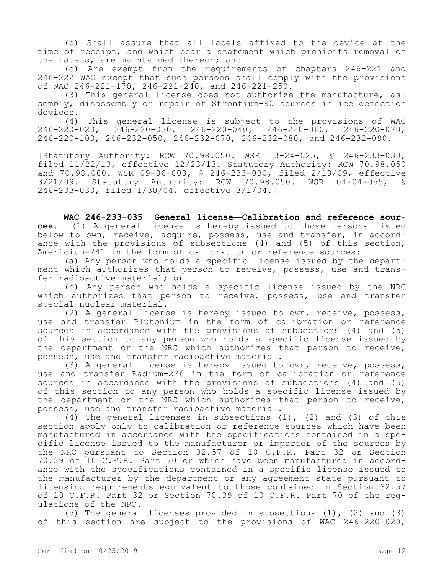(b) Shall assure that all labels affixed to the device at the time of receipt, and which bear a statement which prohibits removal of the labels, are maintained thereon; and

(c) Are exempt from the requirements of chapters 246-221 and 246-222 WAC except that such persons shall comply with the provisions of WAC 246-221-170, 246-221-240, and 246-221-250.

(3) This general license does not authorize the manufacture, assembly, disassembly or repair of Strontium-90 sources in ice detection devices.

(4) This general license is subject to the provisions of WAC 246-220-020, 246-220-030, 246-220-040, 246-220-060, 246-220-070, 246-220-100, 246-232-050, 246-232-070, 246-232-080, and 246-232-090.

[Statutory Authority: RCW 70.98.050. WSR 13-24-025, § 246-233-030, filed 11/22/13, effective 12/23/13. Statutory Authority: RCW 70.98.050 and 70.98.080. WSR 09-06-003, § 246-233-030, filed 2/18/09, effective 3/21/09. Statutory Authority: RCW 70.98.050. WSR 04-04-055, § 246-233-030, filed 1/30/04, effective 3/1/04.]

WAC 246-233-035 General license-Calibration and reference sour**ces.** (1) A general license is hereby issued to those persons listed below to own, receive, acquire, possess, use and transfer, in accordance with the provisions of subsections (4) and (5) of this section, Americium-241 in the form of calibration or reference sources:

(a) Any person who holds a specific license issued by the department which authorizes that person to receive, possess, use and transfer radioactive material; or

(b) Any person who holds a specific license issued by the NRC which authorizes that person to receive, possess, use and transfer special nuclear material.

(2) A general license is hereby issued to own, receive, possess, use and transfer Plutonium in the form of calibration or reference sources in accordance with the provisions of subsections (4) and (5) of this section to any person who holds a specific license issued by the department or the NRC which authorizes that person to receive, possess, use and transfer radioactive material.

(3) A general license is hereby issued to own, receive, possess, use and transfer Radium-226 in the form of calibration or reference sources in accordance with the provisions of subsections (4) and (5) of this section to any person who holds a specific license issued by the department or the NRC which authorizes that person to receive, possess, use and transfer radioactive material.

(4) The general licenses in subsections  $(1)$ ,  $(2)$  and  $(3)$  of this section apply only to calibration or reference sources which have been manufactured in accordance with the specifications contained in a specific license issued to the manufacturer or importer of the sources by the NRC pursuant to Section 32.57 of 10 C.F.R. Part 32 or Section 70.39 of 10 C.F.R. Part 70 or which have been manufactured in accordance with the specifications contained in a specific license issued to the manufacturer by the department or any agreement state pursuant to licensing requirements equivalent to those contained in Section 32.57 of 10 C.F.R. Part 32 or Section 70.39 of 10 C.F.R. Part 70 of the regulations of the NRC.

(5) The general licenses provided in subsections (1), (2) and (3) of this section are subject to the provisions of WAC 246-220-020,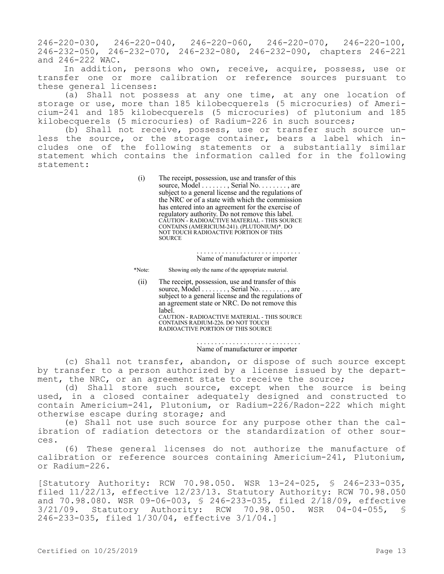246-220-030, 246-220-040, 246-220-060, 246-220-070, 246-220-100, 246-232-050, 246-232-070, 246-232-080, 246-232-090, chapters 246-221 and 246-222 WAC.

In addition, persons who own, receive, acquire, possess, use or transfer one or more calibration or reference sources pursuant to these general licenses:

(a) Shall not possess at any one time, at any one location of storage or use, more than 185 kilobecquerels (5 microcuries) of Americium-241 and 185 kilobecquerels (5 microcuries) of plutonium and 185 kilobecquerels (5 microcuries) of Radium-226 in such sources;

(b) Shall not receive, possess, use or transfer such source unless the source, or the storage container, bears a label which includes one of the following statements or a substantially similar statement which contains the information called for in the following statement:

> (i) The receipt, possession, use and transfer of this source, Model . . . . . . . , Serial No. . . . . . . . , are subject to a general license and the regulations of the NRC or of a state with which the commission has entered into an agreement for the exercise of regulatory authority. Do not remove this label. CAUTION - RADIOACTIVE MATERIAL - THIS SOURCE CONTAINS (AMERICIUM-241). (PLUTONIUM)\*. DO NOT TOUCH RADIOACTIVE PORTION OF THIS **SOURCE**

> > . . . . . . . . . . . . . . . . . . . . . . . . . . . . . Name of manufacturer or importer

\*Note: Showing only the name of the appropriate material.

(ii) The receipt, possession, use and transfer of this source, Model . . . . . . . , Serial No. . . . . . . . , are subject to a general license and the regulations of an agreement state or NRC. Do not remove this label. CAUTION - RADIOACTIVE MATERIAL - THIS SOURCE

CONTAINS RADIUM-226. DO NOT TOUCH RADIOACTIVE PORTION OF THIS SOURCE

## . . . . . . . . . . . . . . . . . . . . . . . . . . . . . Name of manufacturer or importer

(c) Shall not transfer, abandon, or dispose of such source except by transfer to a person authorized by a license issued by the department, the NRC, or an agreement state to receive the source;

(d) Shall store such source, except when the source is being used, in a closed container adequately designed and constructed to contain Americium-241, Plutonium, or Radium-226/Radon-222 which might otherwise escape during storage; and

(e) Shall not use such source for any purpose other than the calibration of radiation detectors or the standardization of other sources.

(6) These general licenses do not authorize the manufacture of calibration or reference sources containing Americium-241, Plutonium, or Radium-226.

[Statutory Authority: RCW 70.98.050. WSR 13-24-025, § 246-233-035, filed 11/22/13, effective 12/23/13. Statutory Authority: RCW 70.98.050 and 70.98.080. WSR 09-06-003, \$ 246-233-035, filed  $2/\overline{1}8/09$ , effective  $3/21/09$ . Statutory Authority: RCW 70.98.050. WSR 04-04-055, \$ RCW 70.98.050. WSR 04-04-055, § 246-233-035, filed 1/30/04, effective 3/1/04.]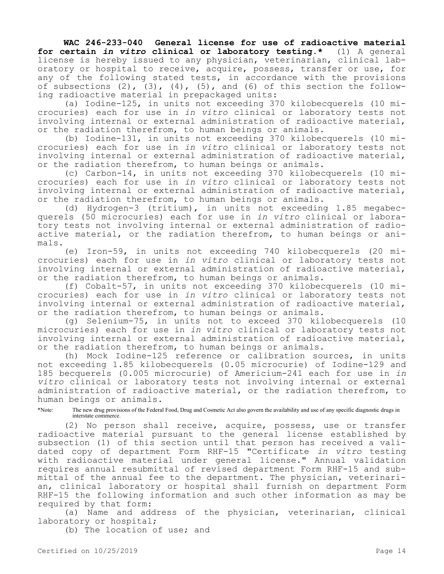**WAC 246-233-040 General license for use of radioactive material for certain** *in vitro* **clinical or laboratory testing.\*** (1) A general license is hereby issued to any physician, veterinarian, clinical laboratory or hospital to receive, acquire, possess, transfer or use, for any of the following stated tests, in accordance with the provisions of subsections  $(2)$ ,  $(3)$ ,  $(4)$ ,  $(5)$ , and  $(6)$  of this section the following radioactive material in prepackaged units:

(a) Iodine-125, in units not exceeding 370 kilobecquerels (10 microcuries) each for use in *in vitro* clinical or laboratory tests not involving internal or external administration of radioactive material, or the radiation therefrom, to human beings or animals.

(b) Iodine-131, in units not exceeding 370 kilobecquerels (10 microcuries) each for use in *in vitro* clinical or laboratory tests not involving internal or external administration of radioactive material, or the radiation therefrom, to human beings or animals.

(c) Carbon-14, in units not exceeding 370 kilobecquerels (10 microcuries) each for use in *in vitro* clinical or laboratory tests not involving internal or external administration of radioactive material, or the radiation therefrom, to human beings or animals.

(d) Hydrogen-3 (tritium), in units not exceeding 1.85 megabecquerels (50 microcuries) each for use in *in vitro* clinical or laboratory tests not involving internal or external administration of radioactive material, or the radiation therefrom, to human beings or animals.

(e) Iron-59, in units not exceeding 740 kilobecquerels (20 microcuries) each for use in *in vitro* clinical or laboratory tests not involving internal or external administration of radioactive material, or the radiation therefrom, to human beings or animals.

(f) Cobalt-57, in units not exceeding 370 kilobecquerels (10 microcuries) each for use in *in vitro* clinical or laboratory tests not involving internal or external administration of radioactive material, or the radiation therefrom, to human beings or animals.

(g) Selenium-75, in units not to exceed 370 kilobecquerels (10 microcuries) each for use in *in vitro* clinical or laboratory tests not involving internal or external administration of radioactive material, or the radiation therefrom, to human beings or animals.

(h) Mock Iodine-125 reference or calibration sources, in units not exceeding 1.85 kilobecquerels (0.05 microcurie) of Iodine-129 and 185 becquerels (0.005 microcurie) of Americium-241 each for use in *in vitro* clinical or laboratory tests not involving internal or external administration of radioactive material, or the radiation therefrom, to human beings or animals.

\*Note: The new drug provisions of the Federal Food, Drug and Cosmetic Act also govern the availability and use of any specific diagnostic drugs in interstate commerce.

(2) No person shall receive, acquire, possess, use or transfer radioactive material pursuant to the general license established by subsection (1) of this section until that person has received a validated copy of department Form RHF-15 "Certificate *in vitro* testing with radioactive material under general license." Annual validation requires annual resubmittal of revised department Form RHF-15 and submittal of the annual fee to the department. The physician, veterinarian, clinical laboratory or hospital shall furnish on department Form RHF-15 the following information and such other information as may be required by that form:

(a) Name and address of the physician, veterinarian, clinical laboratory or hospital;

(b) The location of use; and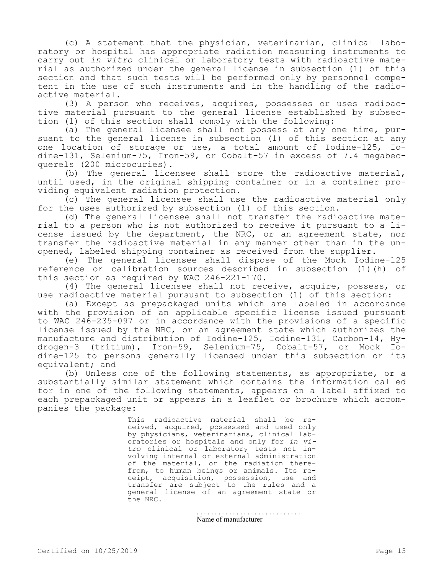(c) A statement that the physician, veterinarian, clinical laboratory or hospital has appropriate radiation measuring instruments to carry out *in vitro* clinical or laboratory tests with radioactive material as authorized under the general license in subsection (1) of this section and that such tests will be performed only by personnel competent in the use of such instruments and in the handling of the radioactive material.

(3) A person who receives, acquires, possesses or uses radioactive material pursuant to the general license established by subsection (1) of this section shall comply with the following:

(a) The general licensee shall not possess at any one time, pursuant to the general license in subsection (1) of this section at any one location of storage or use, a total amount of Iodine-125, Iodine-131, Selenium-75, Iron-59, or Cobalt-57 in excess of 7.4 megabecquerels (200 microcuries).

(b) The general licensee shall store the radioactive material, until used, in the original shipping container or in a container providing equivalent radiation protection.

(c) The general licensee shall use the radioactive material only for the uses authorized by subsection (1) of this section.

(d) The general licensee shall not transfer the radioactive material to a person who is not authorized to receive it pursuant to a license issued by the department, the NRC, or an agreement state, nor transfer the radioactive material in any manner other than in the unopened, labeled shipping container as received from the supplier.

(e) The general licensee shall dispose of the Mock Iodine-125 reference or calibration sources described in subsection (1)(h) of this section as required by WAC 246-221-170.

(4) The general licensee shall not receive, acquire, possess, or use radioactive material pursuant to subsection (1) of this section:

(a) Except as prepackaged units which are labeled in accordance with the provision of an applicable specific license issued pursuant to WAC 246-235-097 or in accordance with the provisions of a specific license issued by the NRC, or an agreement state which authorizes the manufacture and distribution of Iodine-125, Iodine-131, Carbon-14, Hydrogen-3 (tritium), Iron-59, Selenium-75, Cobalt-57, or Mock Iodine-125 to persons generally licensed under this subsection or its equivalent; and

(b) Unless one of the following statements, as appropriate, or a substantially similar statement which contains the information called for in one of the following statements, appears on a label affixed to each prepackaged unit or appears in a leaflet or brochure which accompanies the package:

> This radioactive material shall be received, acquired, possessed and used only by physicians, veterinarians, clinical laboratories or hospitals and only for *in vitro* clinical or laboratory tests not involving internal or external administration of the material, or the radiation therefrom, to human beings or animals. Its receipt, acquisition, possession, use and transfer are subject to the rules and a general license of an agreement state or the NRC.

> > . . . . . . . . . . . . . . . . . . . . . . . . . . . . . Name of manufacturer